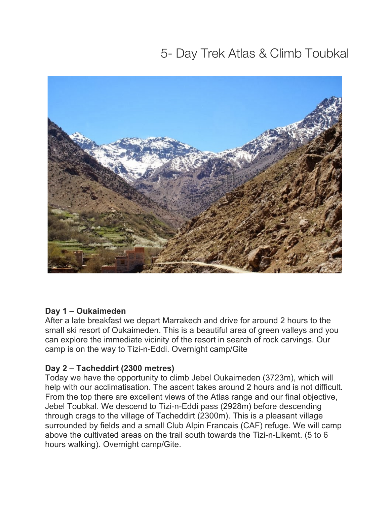# 5- Day Trek Atlas & Climb Toubkal



#### **Day 1 – Oukaimeden**

After a late breakfast we depart Marrakech and drive for around 2 hours to the small ski resort of Oukaimeden. This is a beautiful area of green valleys and you can explore the immediate vicinity of the resort in search of rock carvings. Our camp is on the way to Tizi-n-Eddi. Overnight camp/Gite

#### **Day 2 – Tacheddirt (2300 metres)**

Today we have the opportunity to climb Jebel Oukaimeden (3723m), which will help with our acclimatisation. The ascent takes around 2 hours and is not difficult. From the top there are excellent views of the Atlas range and our final objective, Jebel Toubkal. We descend to Tizi-n-Eddi pass (2928m) before descending through crags to the village of Tacheddirt (2300m). This is a pleasant village surrounded by fields and a small Club Alpin Francais (CAF) refuge. We will camp above the cultivated areas on the trail south towards the Tizi-n-Likemt. (5 to 6 hours walking). Overnight camp/Gite.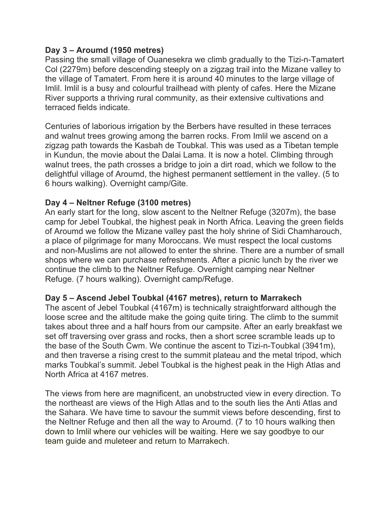#### **Day 3 – Aroumd (1950 metres)**

Passing the small village of Ouanesekra we climb gradually to the Tizi-n-Tamatert Col (2279m) before descending steeply on a zigzag trail into the Mizane valley to the village of Tamatert. From here it is around 40 minutes to the large village of Imlil. Imlil is a busy and colourful trailhead with plenty of cafes. Here the Mizane River supports a thriving rural community, as their extensive cultivations and terraced fields indicate.

Centuries of laborious irrigation by the Berbers have resulted in these terraces and walnut trees growing among the barren rocks. From Imlil we ascend on a zigzag path towards the Kasbah de Toubkal. This was used as a Tibetan temple in Kundun, the movie about the Dalai Lama. It is now a hotel. Climbing through walnut trees, the path crosses a bridge to join a dirt road, which we follow to the delightful village of Aroumd, the highest permanent settlement in the valley. (5 to 6 hours walking). Overnight camp/Gite.

#### **Day 4 – Neltner Refuge (3100 metres)**

An early start for the long, slow ascent to the Neltner Refuge (3207m), the base camp for Jebel Toubkal, the highest peak in North Africa. Leaving the green fields of Aroumd we follow the Mizane valley past the holy shrine of Sidi Chamharouch, a place of pilgrimage for many Moroccans. We must respect the local customs and non-Muslims are not allowed to enter the shrine. There are a number of small shops where we can purchase refreshments. After a picnic lunch by the river we continue the climb to the Neltner Refuge. Overnight camping near Neltner Refuge. (7 hours walking). Overnight camp/Refuge.

#### **Day 5 – Ascend Jebel Toubkal (4167 metres), return to Marrakech**

The ascent of Jebel Toubkal (4167m) is technically straightforward although the loose scree and the altitude make the going quite tiring. The climb to the summit takes about three and a half hours from our campsite. After an early breakfast we set off traversing over grass and rocks, then a short scree scramble leads up to the base of the South Cwm. We continue the ascent to Tizi-n-Toubkal (3941m), and then traverse a rising crest to the summit plateau and the metal tripod, which marks Toubkal's summit. Jebel Toubkal is the highest peak in the High Atlas and North Africa at 4167 metres.

The views from here are magnificent, an unobstructed view in every direction. To the northeast are views of the High Atlas and to the south lies the Anti Atlas and the Sahara. We have time to savour the summit views before descending, first to the Neltner Refuge and then all the way to Aroumd. (7 to 10 hours walking then down to Imlil where our vehicles will be waiting. Here we say goodbye to our team guide and muleteer and return to Marrakech.